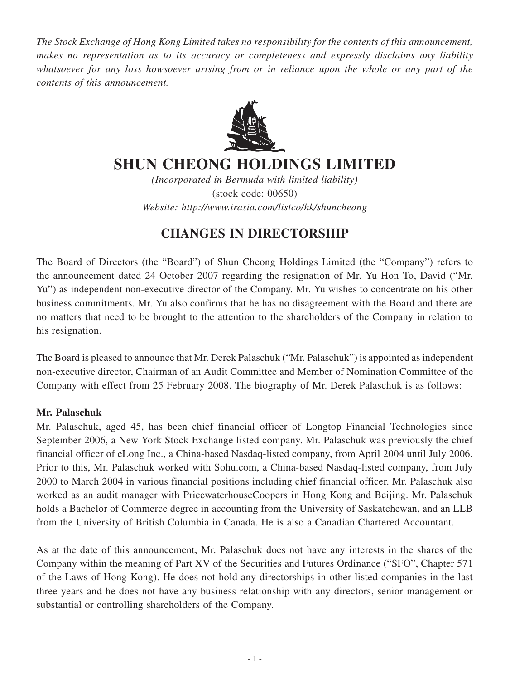*The Stock Exchange of Hong Kong Limited takes no responsibility for the contents of this announcement, makes no representation as to its accuracy or completeness and expressly disclaims any liability whatsoever for any loss howsoever arising from or in reliance upon the whole or any part of the contents of this announcement.*



## **SHUN CHEONG HOLDINGS LIMITED**

*(Incorporated in Bermuda with limited liability)* (stock code: 00650) *Website: http://www.irasia.com/listco/hk/shuncheong*

## **CHANGES IN DIRECTORSHIP**

The Board of Directors (the "Board") of Shun Cheong Holdings Limited (the "Company") refers to the announcement dated 24 October 2007 regarding the resignation of Mr. Yu Hon To, David ("Mr. Yu") as independent non-executive director of the Company. Mr. Yu wishes to concentrate on his other business commitments. Mr. Yu also confirms that he has no disagreement with the Board and there are no matters that need to be brought to the attention to the shareholders of the Company in relation to his resignation.

The Board is pleased to announce that Mr. Derek Palaschuk ("Mr. Palaschuk") is appointed as independent non-executive director, Chairman of an Audit Committee and Member of Nomination Committee of the Company with effect from 25 February 2008. The biography of Mr. Derek Palaschuk is as follows:

## **Mr. Palaschuk**

Mr. Palaschuk, aged 45, has been chief financial officer of Longtop Financial Technologies since September 2006, a New York Stock Exchange listed company. Mr. Palaschuk was previously the chief financial officer of eLong Inc., a China-based Nasdaq-listed company, from April 2004 until July 2006. Prior to this, Mr. Palaschuk worked with Sohu.com, a China-based Nasdaq-listed company, from July 2000 to March 2004 in various financial positions including chief financial officer. Mr. Palaschuk also worked as an audit manager with PricewaterhouseCoopers in Hong Kong and Beijing. Mr. Palaschuk holds a Bachelor of Commerce degree in accounting from the University of Saskatchewan, and an LLB from the University of British Columbia in Canada. He is also a Canadian Chartered Accountant.

As at the date of this announcement, Mr. Palaschuk does not have any interests in the shares of the Company within the meaning of Part XV of the Securities and Futures Ordinance ("SFO", Chapter 571 of the Laws of Hong Kong). He does not hold any directorships in other listed companies in the last three years and he does not have any business relationship with any directors, senior management or substantial or controlling shareholders of the Company.